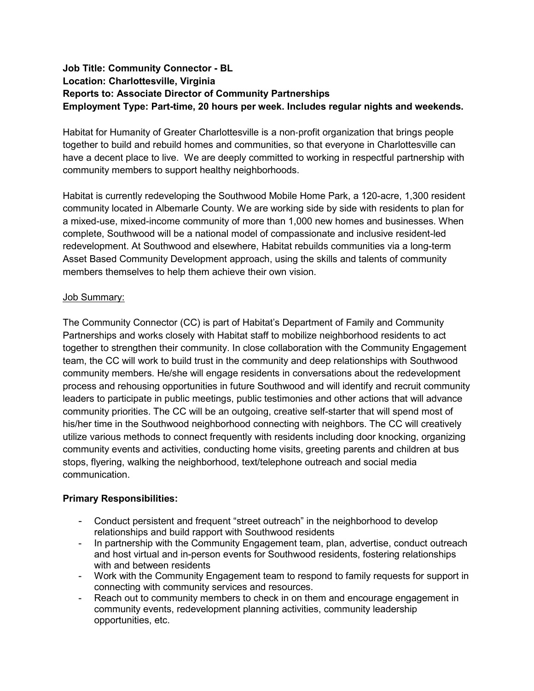## **Job Title: Community Connector - BL Location: Charlottesville, Virginia Reports to: Associate Director of Community Partnerships Employment Type: Part-time, 20 hours per week. Includes regular nights and weekends.**

Habitat for Humanity of Greater Charlottesville is a non‐profit organization that brings people together to build and rebuild homes and communities, so that everyone in Charlottesville can have a decent place to live. We are deeply committed to working in respectful partnership with community members to support healthy neighborhoods.

Habitat is currently redeveloping the Southwood Mobile Home Park, a 120-acre, 1,300 resident community located in Albemarle County. We are working side by side with residents to plan for a mixed-use, mixed-income community of more than 1,000 new homes and businesses. When complete, Southwood will be a national model of compassionate and inclusive resident-led redevelopment. At Southwood and elsewhere, Habitat rebuilds communities via a long-term Asset Based Community Development approach, using the skills and talents of community members themselves to help them achieve their own vision.

## Job Summary:

The Community Connector (CC) is part of Habitat's Department of Family and Community Partnerships and works closely with Habitat staff to mobilize neighborhood residents to act together to strengthen their community. In close collaboration with the Community Engagement team, the CC will work to build trust in the community and deep relationships with Southwood community members. He/she will engage residents in conversations about the redevelopment process and rehousing opportunities in future Southwood and will identify and recruit community leaders to participate in public meetings, public testimonies and other actions that will advance community priorities. The CC will be an outgoing, creative self-starter that will spend most of his/her time in the Southwood neighborhood connecting with neighbors. The CC will creatively utilize various methods to connect frequently with residents including door knocking, organizing community events and activities, conducting home visits, greeting parents and children at bus stops, flyering, walking the neighborhood, text/telephone outreach and social media communication.

## **Primary Responsibilities:**

- Conduct persistent and frequent "street outreach" in the neighborhood to develop relationships and build rapport with Southwood residents
- In partnership with the Community Engagement team, plan, advertise, conduct outreach and host virtual and in-person events for Southwood residents, fostering relationships with and between residents
- Work with the Community Engagement team to respond to family requests for support in connecting with community services and resources.
- Reach out to community members to check in on them and encourage engagement in community events, redevelopment planning activities, community leadership opportunities, etc.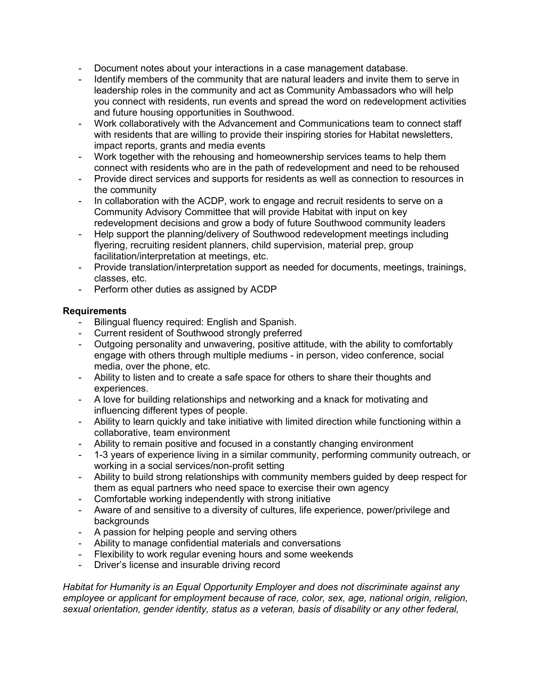- Document notes about your interactions in a case management database.
- Identify members of the community that are natural leaders and invite them to serve in leadership roles in the community and act as Community Ambassadors who will help you connect with residents, run events and spread the word on redevelopment activities and future housing opportunities in Southwood.
- Work collaboratively with the Advancement and Communications team to connect staff with residents that are willing to provide their inspiring stories for Habitat newsletters, impact reports, grants and media events
- Work together with the rehousing and homeownership services teams to help them connect with residents who are in the path of redevelopment and need to be rehoused
- Provide direct services and supports for residents as well as connection to resources in the community
- In collaboration with the ACDP, work to engage and recruit residents to serve on a Community Advisory Committee that will provide Habitat with input on key redevelopment decisions and grow a body of future Southwood community leaders
- Help support the planning/delivery of Southwood redevelopment meetings including flyering, recruiting resident planners, child supervision, material prep, group facilitation/interpretation at meetings, etc.
- Provide translation/interpretation support as needed for documents, meetings, trainings, classes, etc.
- Perform other duties as assigned by ACDP

## **Requirements**

- Bilingual fluency required: English and Spanish.
- Current resident of Southwood strongly preferred
- Outgoing personality and unwavering, positive attitude, with the ability to comfortably engage with others through multiple mediums - in person, video conference, social media, over the phone, etc.
- Ability to listen and to create a safe space for others to share their thoughts and experiences.
- A love for building relationships and networking and a knack for motivating and influencing different types of people.
- Ability to learn quickly and take initiative with limited direction while functioning within a collaborative, team environment
- Ability to remain positive and focused in a constantly changing environment
- 1-3 years of experience living in a similar community, performing community outreach, or working in a social services/non-profit setting
- Ability to build strong relationships with community members guided by deep respect for them as equal partners who need space to exercise their own agency
- Comfortable working independently with strong initiative
- Aware of and sensitive to a diversity of cultures, life experience, power/privilege and **backgrounds**
- A passion for helping people and serving others
- Ability to manage confidential materials and conversations
- Flexibility to work regular evening hours and some weekends
- Driver's license and insurable driving record

*Habitat for Humanity is an Equal Opportunity Employer and does not discriminate against any employee or applicant for employment because of race, color, sex, age, national origin, religion, sexual orientation, gender identity, status as a veteran, basis of disability or any other federal,*